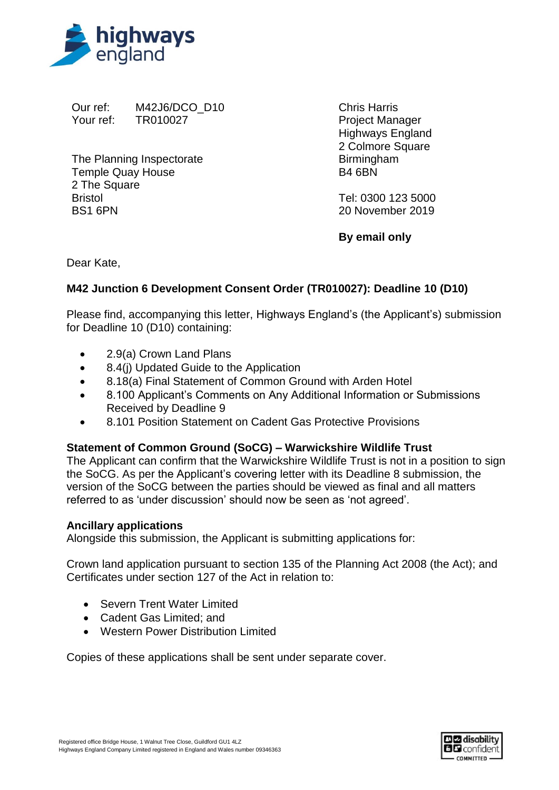

Our ref: M42J6/DCO\_D10 Your ref: TR010027

The Planning Inspectorate Temple Quay House 2 The Square Bristol BS1 6PN

Chris Harris Project Manager Highways England 2 Colmore Square Birmingham B4 6BN

Tel: 0300 123 5000 20 November 2019

**By email only**

Dear Kate,

## **M42 Junction 6 Development Consent Order (TR010027): Deadline 10 (D10)**

Please find, accompanying this letter, Highways England's (the Applicant's) submission for Deadline 10 (D10) containing:

- 2.9(a) Crown Land Plans
- 8.4(i) Updated Guide to the Application
- 8.18(a) Final Statement of Common Ground with Arden Hotel
- 8.100 Applicant's Comments on Any Additional Information or Submissions Received by Deadline 9
- 8.101 Position Statement on Cadent Gas Protective Provisions

## **Statement of Common Ground (SoCG) – Warwickshire Wildlife Trust**

The Applicant can confirm that the Warwickshire Wildlife Trust is not in a position to sign the SoCG. As per the Applicant's covering letter with its Deadline 8 submission, the version of the SoCG between the parties should be viewed as final and all matters referred to as 'under discussion' should now be seen as 'not agreed'.

## **Ancillary applications**

Alongside this submission, the Applicant is submitting applications for:

Crown land application pursuant to section 135 of the Planning Act 2008 (the Act); and Certificates under section 127 of the Act in relation to:

- Severn Trent Water Limited
- Cadent Gas Limited; and
- Western Power Distribution Limited

Copies of these applications shall be sent under separate cover.

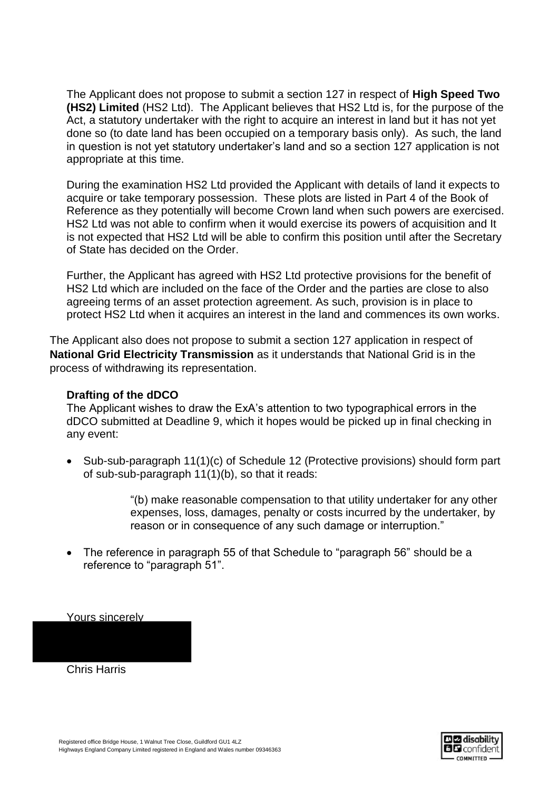The Applicant does not propose to submit a section 127 in respect of **High Speed Two (HS2) Limited** (HS2 Ltd). The Applicant believes that HS2 Ltd is, for the purpose of the Act, a statutory undertaker with the right to acquire an interest in land but it has not yet done so (to date land has been occupied on a temporary basis only). As such, the land in question is not yet statutory undertaker's land and so a section 127 application is not appropriate at this time.

During the examination HS2 Ltd provided the Applicant with details of land it expects to acquire or take temporary possession. These plots are listed in Part 4 of the Book of Reference as they potentially will become Crown land when such powers are exercised. HS2 Ltd was not able to confirm when it would exercise its powers of acquisition and It is not expected that HS2 Ltd will be able to confirm this position until after the Secretary of State has decided on the Order.

Further, the Applicant has agreed with HS2 Ltd protective provisions for the benefit of HS2 Ltd which are included on the face of the Order and the parties are close to also agreeing terms of an asset protection agreement. As such, provision is in place to protect HS2 Ltd when it acquires an interest in the land and commences its own works.

The Applicant also does not propose to submit a section 127 application in respect of **National Grid Electricity Transmission** as it understands that National Grid is in the process of withdrawing its representation.

## **Drafting of the dDCO**

The Applicant wishes to draw the ExA's attention to two typographical errors in the dDCO submitted at Deadline 9, which it hopes would be picked up in final checking in any event:

• Sub-sub-paragraph 11(1)(c) of Schedule 12 (Protective provisions) should form part of sub-sub-paragraph 11(1)(b), so that it reads:

> "(b) make reasonable compensation to that utility undertaker for any other expenses, loss, damages, penalty or costs incurred by the undertaker, by reason or in consequence of any such damage or interruption."

• The reference in paragraph 55 of that Schedule to "paragraph 56" should be a reference to "paragraph 51".

Yours sincerely

Chris Harris